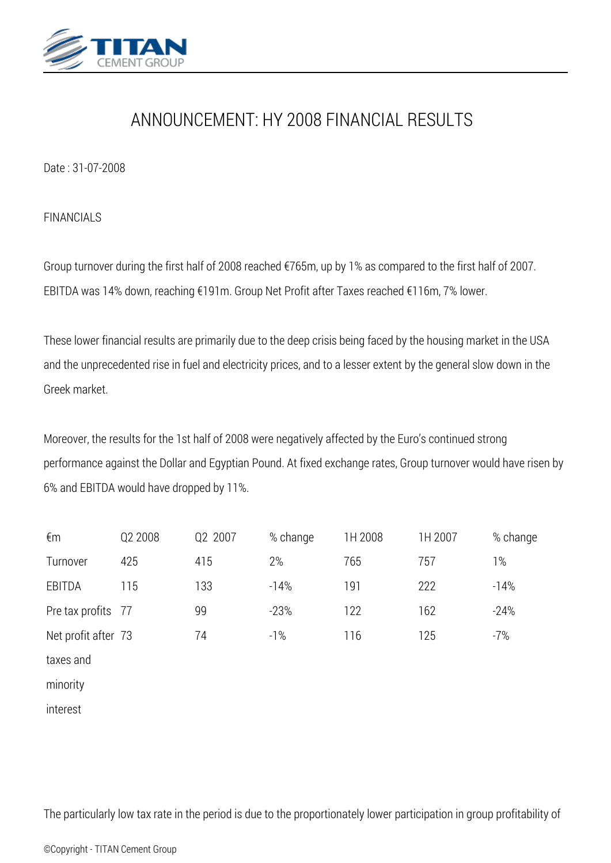

## *ANNOUNCEMENT: HY 2008 FINANCIAL RESULTS*

*Date : 31-07-2008*

*FINANCIALS*

*Group turnover during the first half of 2008 reached €765m, up by 1% as compared to the first half of 2007. EBITDA was 14% down, reaching €191m. Group Net Profit after Taxes reached €116m, 7% lower.*

*These lower financial results are primarily due to the deep crisis being faced by the housing market in the USA and the unprecedented rise in fuel and electricity prices, and to a lesser extent by the general slow down in the Greek market.*

*Moreover, the results for the 1st half of 2008 were negatively affected by the Euro's continued strong performance against the Dollar and Egyptian Pound. At fixed exchange rates, Group turnover would have risen by 6% and EBITDA would have dropped by 11%.*

| €m                  | Q2 2008 | Q2 2007 | % change | 1H 2008 | 1H 2007 | % change |
|---------------------|---------|---------|----------|---------|---------|----------|
| Turnover            | 425     | 415     | 2%       | 765     | 757     | $1\%$    |
| EBITDA              | 115     | 133     | $-14%$   | 191     | 222     | $-14%$   |
| Pre tax profits 77  |         | 99      | $-23%$   | 122     | 162     | $-24%$   |
| Net profit after 73 |         | 74      | $-1%$    | 116     | 125     | $-7%$    |
| taxes and           |         |         |          |         |         |          |
| minority            |         |         |          |         |         |          |
| interest            |         |         |          |         |         |          |

*The particularly low tax rate in the period is due to the proportionately lower participation in group profitability of*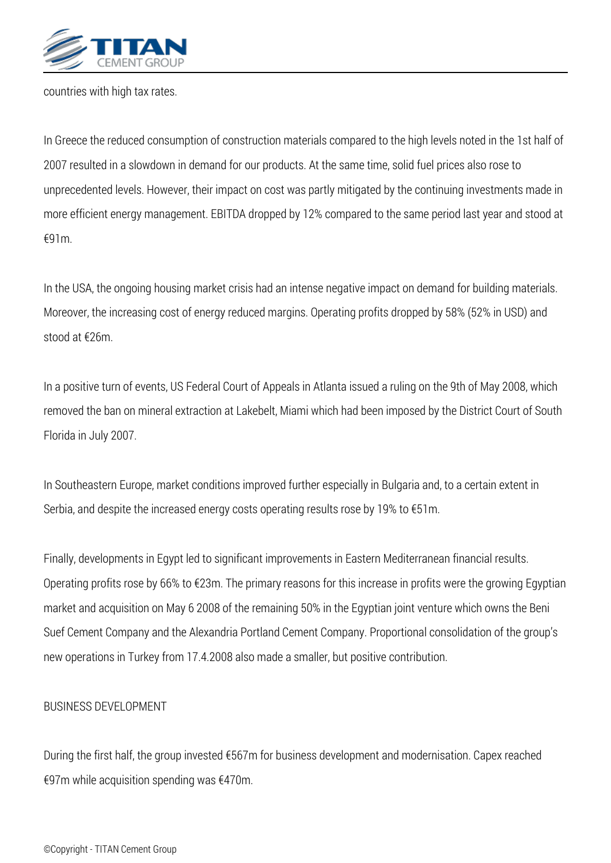

*countries with high tax rates.*

*In Greece the reduced consumption of construction materials compared to the high levels noted in the 1st half of 2007 resulted in a slowdown in demand for our products. At the same time, solid fuel prices also rose to unprecedented levels. However, their impact on cost was partly mitigated by the continuing investments made in more efficient energy management. EBITDA dropped by 12% compared to the same period last year and stood at €91m.*

*In the USA, the ongoing housing market crisis had an intense negative impact on demand for building materials. Moreover, the increasing cost of energy reduced margins. Operating profits dropped by 58% (52% in USD) and stood at €26m.*

*In a positive turn of events, US Federal Court of Appeals in Atlanta issued a ruling on the 9th of May 2008, which removed the ban on mineral extraction at Lakebelt, Miami which had been imposed by the District Court of South Florida in July 2007.*

*In Southeastern Europe, market conditions improved further especially in Bulgaria and, to a certain extent in Serbia, and despite the increased energy costs operating results rose by 19% to €51m.*

*Finally, developments in Egypt led to significant improvements in Eastern Mediterranean financial results. Operating profits rose by 66% to €23m. The primary reasons for this increase in profits were the growing Egyptian market and acquisition on May 6 2008 of the remaining 50% in the Egyptian joint venture which owns the Beni Suef Cement Company and the Alexandria Portland Cement Company. Proportional consolidation of the group's new operations in Turkey from 17.4.2008 also made a smaller, but positive contribution.*

## *BUSINESS DEVELOPMENT*

*During the first half, the group invested €567m for business development and modernisation. Capex reached €97m while acquisition spending was €470m.*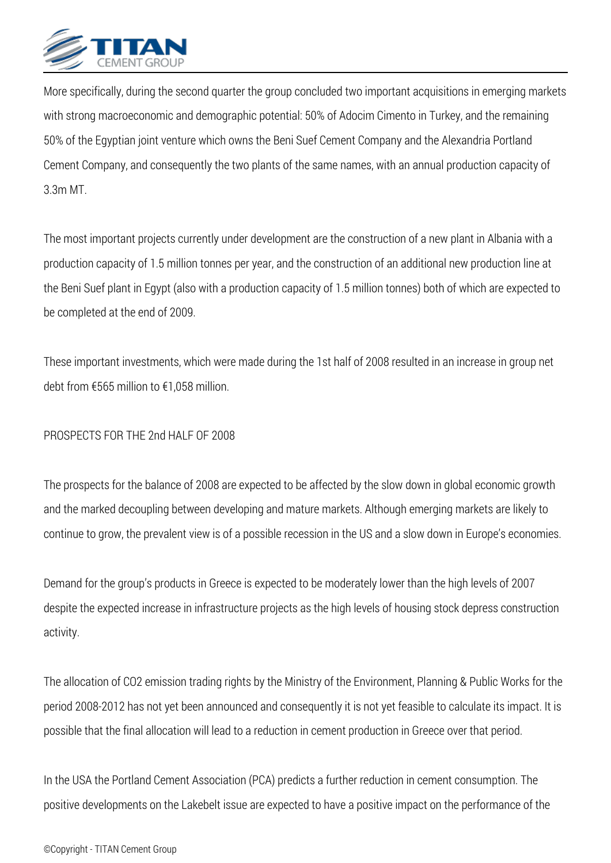

*More specifically, during the second quarter the group concluded two important acquisitions in emerging markets with strong macroeconomic and demographic potential: 50% of Adocim Cimento in Turkey, and the remaining 50% of the Egyptian joint venture which owns the Beni Suef Cement Company and the Alexandria Portland Cement Company, and consequently the two plants of the same names, with an annual production capacity of 3.3m MT.*

*The most important projects currently under development are the construction of a new plant in Albania with a production capacity of 1.5 million tonnes per year, and the construction of an additional new production line at the Beni Suef plant in Egypt (also with a production capacity of 1.5 million tonnes) both of which are expected to be completed at the end of 2009.*

*These important investments, which were made during the 1st half of 2008 resulted in an increase in group net debt from €565 million to €1,058 million.*

## *PROSPECTS FOR THE 2nd HALF OF 2008*

*The prospects for the balance of 2008 are expected to be affected by the slow down in global economic growth and the marked decoupling between developing and mature markets. Although emerging markets are likely to continue to grow, the prevalent view is of a possible recession in the US and a slow down in Europe's economies.*

*Demand for the group's products in Greece is expected to be moderately lower than the high levels of 2007 despite the expected increase in infrastructure projects as the high levels of housing stock depress construction activity.*

*The allocation of CO2 emission trading rights by the Ministry of the Environment, Planning & Public Works for the period 2008-2012 has not yet been announced and consequently it is not yet feasible to calculate its impact. It is possible that the final allocation will lead to a reduction in cement production in Greece over that period.*

*In the USA the Portland Cement Association (PCA) predicts a further reduction in cement consumption. The positive developments on the Lakebelt issue are expected to have a positive impact on the performance of the*